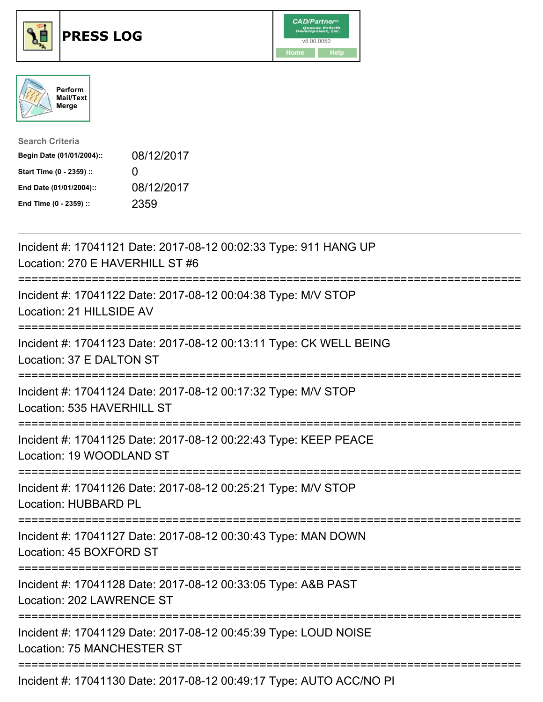





| <b>Search Criteria</b>    |              |
|---------------------------|--------------|
| Begin Date (01/01/2004):: | 08/12/2017   |
| Start Time (0 - 2359) ::  | $\mathbf{U}$ |
| End Date (01/01/2004)::   | 08/12/2017   |
| End Time (0 - 2359) ::    | 2359         |

| Incident #: 17041121 Date: 2017-08-12 00:02:33 Type: 911 HANG UP<br>Location: 270 E HAVERHILL ST #6                   |
|-----------------------------------------------------------------------------------------------------------------------|
| Incident #: 17041122 Date: 2017-08-12 00:04:38 Type: M/V STOP<br>Location: 21 HILLSIDE AV<br>------------             |
| Incident #: 17041123 Date: 2017-08-12 00:13:11 Type: CK WELL BEING<br>Location: 37 E DALTON ST<br>=================== |
| Incident #: 17041124 Date: 2017-08-12 00:17:32 Type: M/V STOP<br>Location: 535 HAVERHILL ST                           |
| Incident #: 17041125 Date: 2017-08-12 00:22:43 Type: KEEP PEACE<br>Location: 19 WOODLAND ST                           |
| Incident #: 17041126 Date: 2017-08-12 00:25:21 Type: M/V STOP<br>Location: HUBBARD PL                                 |
| Incident #: 17041127 Date: 2017-08-12 00:30:43 Type: MAN DOWN<br>Location: 45 BOXFORD ST                              |
| Incident #: 17041128 Date: 2017-08-12 00:33:05 Type: A&B PAST<br>Location: 202 LAWRENCE ST                            |
| Incident #: 17041129 Date: 2017-08-12 00:45:39 Type: LOUD NOISE<br><b>Location: 75 MANCHESTER ST</b>                  |
| Incident #: 17041130 Date: 2017-08-12 00:49:17 Type: AUTO ACC/NO PI                                                   |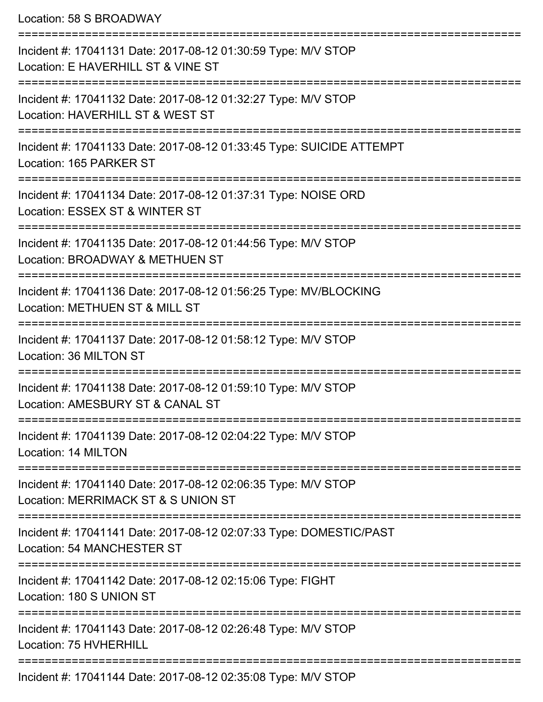Location: 58 S BROADWAY =========================================================================== Incident #: 17041131 Date: 2017-08-12 01:30:59 Type: M/V STOP Location: E HAVERHILL ST & VINE ST =========================================================================== Incident #: 17041132 Date: 2017-08-12 01:32:27 Type: M/V STOP Location: HAVERHILL ST & WEST ST =========================================================================== Incident #: 17041133 Date: 2017-08-12 01:33:45 Type: SUICIDE ATTEMPT Location: 165 PARKER ST =========================================================================== Incident #: 17041134 Date: 2017-08-12 01:37:31 Type: NOISE ORD Location: ESSEX ST & WINTER ST =========================================================================== Incident #: 17041135 Date: 2017-08-12 01:44:56 Type: M/V STOP Location: BROADWAY & METHUEN ST =========================================================================== Incident #: 17041136 Date: 2017-08-12 01:56:25 Type: MV/BLOCKING Location: METHUEN ST & MILL ST =========================================================================== Incident #: 17041137 Date: 2017-08-12 01:58:12 Type: M/V STOP Location: 36 MILTON ST =========================================================================== Incident #: 17041138 Date: 2017-08-12 01:59:10 Type: M/V STOP Location: AMESBURY ST & CANAL ST =========================================================================== Incident #: 17041139 Date: 2017-08-12 02:04:22 Type: M/V STOP Location: 14 MILTON =========================================================================== Incident #: 17041140 Date: 2017-08-12 02:06:35 Type: M/V STOP Location: MERRIMACK ST & S UNION ST =========================================================================== Incident #: 17041141 Date: 2017-08-12 02:07:33 Type: DOMESTIC/PAST Location: 54 MANCHESTER ST =========================================================================== Incident #: 17041142 Date: 2017-08-12 02:15:06 Type: FIGHT Location: 180 S UNION ST =========================================================================== Incident #: 17041143 Date: 2017-08-12 02:26:48 Type: M/V STOP Location: 75 HVHFRHILL ===========================================================================

Incident #: 17041144 Date: 2017-08-12 02:35:08 Type: M/V STOP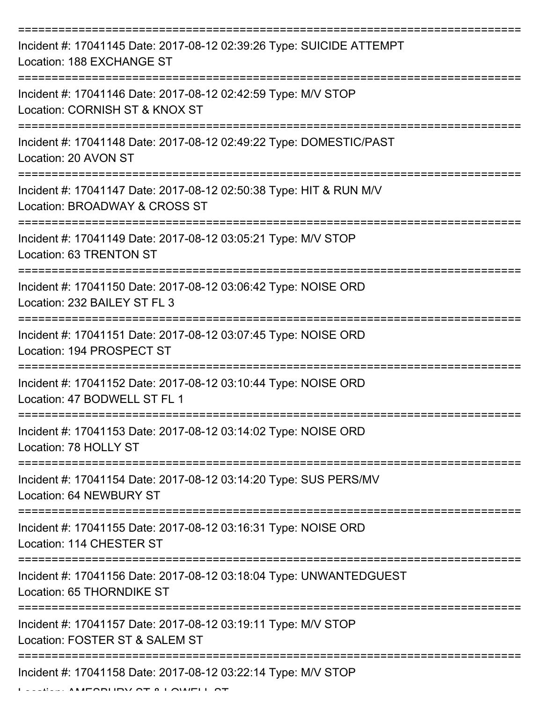| Incident #: 17041145 Date: 2017-08-12 02:39:26 Type: SUICIDE ATTEMPT<br>Location: 188 EXCHANGE ST   |
|-----------------------------------------------------------------------------------------------------|
| Incident #: 17041146 Date: 2017-08-12 02:42:59 Type: M/V STOP<br>Location: CORNISH ST & KNOX ST     |
| Incident #: 17041148 Date: 2017-08-12 02:49:22 Type: DOMESTIC/PAST<br>Location: 20 AVON ST          |
| Incident #: 17041147 Date: 2017-08-12 02:50:38 Type: HIT & RUN M/V<br>Location: BROADWAY & CROSS ST |
| Incident #: 17041149 Date: 2017-08-12 03:05:21 Type: M/V STOP<br>Location: 63 TRENTON ST            |
| Incident #: 17041150 Date: 2017-08-12 03:06:42 Type: NOISE ORD<br>Location: 232 BAILEY ST FL 3      |
| Incident #: 17041151 Date: 2017-08-12 03:07:45 Type: NOISE ORD<br>Location: 194 PROSPECT ST         |
| Incident #: 17041152 Date: 2017-08-12 03:10:44 Type: NOISE ORD<br>Location: 47 BODWELL ST FL 1      |
| Incident #: 17041153 Date: 2017-08-12 03:14:02 Type: NOISE ORD<br>Location: 78 HOLLY ST             |
| Incident #: 17041154 Date: 2017-08-12 03:14:20 Type: SUS PERS/MV<br>Location: 64 NEWBURY ST         |
| Incident #: 17041155 Date: 2017-08-12 03:16:31 Type: NOISE ORD<br>Location: 114 CHESTER ST          |
| Incident #: 17041156 Date: 2017-08-12 03:18:04 Type: UNWANTEDGUEST<br>Location: 65 THORNDIKE ST     |
| Incident #: 17041157 Date: 2017-08-12 03:19:11 Type: M/V STOP<br>Location: FOSTER ST & SALEM ST     |
| Incident #: 17041158 Date: 2017-08-12 03:22:14 Type: M/V STOP                                       |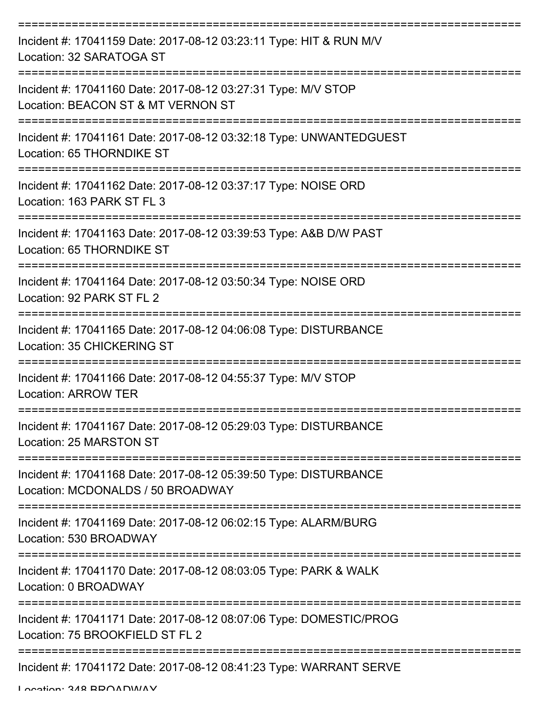| Incident #: 17041159 Date: 2017-08-12 03:23:11 Type: HIT & RUN M/V<br>Location: 32 SARATOGA ST        |
|-------------------------------------------------------------------------------------------------------|
| Incident #: 17041160 Date: 2017-08-12 03:27:31 Type: M/V STOP<br>Location: BEACON ST & MT VERNON ST   |
| Incident #: 17041161 Date: 2017-08-12 03:32:18 Type: UNWANTEDGUEST<br>Location: 65 THORNDIKE ST       |
| Incident #: 17041162 Date: 2017-08-12 03:37:17 Type: NOISE ORD<br>Location: 163 PARK ST FL 3          |
| Incident #: 17041163 Date: 2017-08-12 03:39:53 Type: A&B D/W PAST<br>Location: 65 THORNDIKE ST        |
| Incident #: 17041164 Date: 2017-08-12 03:50:34 Type: NOISE ORD<br>Location: 92 PARK ST FL 2           |
| Incident #: 17041165 Date: 2017-08-12 04:06:08 Type: DISTURBANCE<br>Location: 35 CHICKERING ST        |
| Incident #: 17041166 Date: 2017-08-12 04:55:37 Type: M/V STOP<br><b>Location: ARROW TER</b>           |
| Incident #: 17041167 Date: 2017-08-12 05:29:03 Type: DISTURBANCE<br>Location: 25 MARSTON ST           |
| Incident #: 17041168 Date: 2017-08-12 05:39:50 Type: DISTURBANCE<br>Location: MCDONALDS / 50 BROADWAY |
| Incident #: 17041169 Date: 2017-08-12 06:02:15 Type: ALARM/BURG<br>Location: 530 BROADWAY             |
| Incident #: 17041170 Date: 2017-08-12 08:03:05 Type: PARK & WALK<br>Location: 0 BROADWAY              |
| Incident #: 17041171 Date: 2017-08-12 08:07:06 Type: DOMESTIC/PROG<br>Location: 75 BROOKFIELD ST FL 2 |
| Incident #: 17041172 Date: 2017-08-12 08:41:23 Type: WARRANT SERVE                                    |

Location: 348 BROADWAY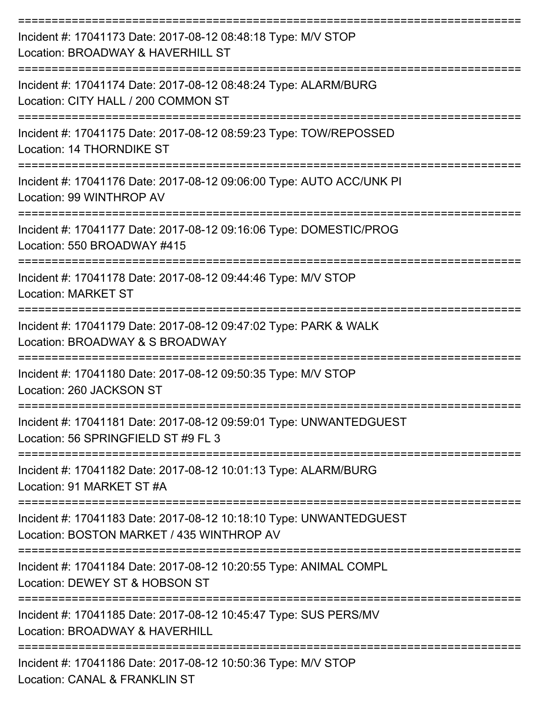| Incident #: 17041173 Date: 2017-08-12 08:48:18 Type: M/V STOP<br>Location: BROADWAY & HAVERHILL ST                                                               |
|------------------------------------------------------------------------------------------------------------------------------------------------------------------|
| Incident #: 17041174 Date: 2017-08-12 08:48:24 Type: ALARM/BURG<br>Location: CITY HALL / 200 COMMON ST<br>,________________                                      |
| Incident #: 17041175 Date: 2017-08-12 08:59:23 Type: TOW/REPOSSED<br>Location: 14 THORNDIKE ST                                                                   |
| Incident #: 17041176 Date: 2017-08-12 09:06:00 Type: AUTO ACC/UNK PI<br>Location: 99 WINTHROP AV                                                                 |
| Incident #: 17041177 Date: 2017-08-12 09:16:06 Type: DOMESTIC/PROG<br>Location: 550 BROADWAY #415                                                                |
| Incident #: 17041178 Date: 2017-08-12 09:44:46 Type: M/V STOP<br><b>Location: MARKET ST</b>                                                                      |
| Incident #: 17041179 Date: 2017-08-12 09:47:02 Type: PARK & WALK<br>Location: BROADWAY & S BROADWAY                                                              |
| Incident #: 17041180 Date: 2017-08-12 09:50:35 Type: M/V STOP<br>Location: 260 JACKSON ST                                                                        |
| Incident #: 17041181 Date: 2017-08-12 09:59:01 Type: UNWANTEDGUEST<br>Location: 56 SPRINGFIELD ST #9 FL 3                                                        |
| Incident #: 17041182 Date: 2017-08-12 10:01:13 Type: ALARM/BURG<br>Location: 91 MARKET ST #A                                                                     |
| Incident #: 17041183 Date: 2017-08-12 10:18:10 Type: UNWANTEDGUEST<br>Location: BOSTON MARKET / 435 WINTHROP AV                                                  |
| ==========================<br>===========================<br>Incident #: 17041184 Date: 2017-08-12 10:20:55 Type: ANIMAL COMPL<br>Location: DEWEY ST & HOBSON ST |
| Incident #: 17041185 Date: 2017-08-12 10:45:47 Type: SUS PERS/MV<br>Location: BROADWAY & HAVERHILL                                                               |
| Incident #: 17041186 Date: 2017-08-12 10:50:36 Type: M/V STOP                                                                                                    |

Location: CANAL & FRANKLIN ST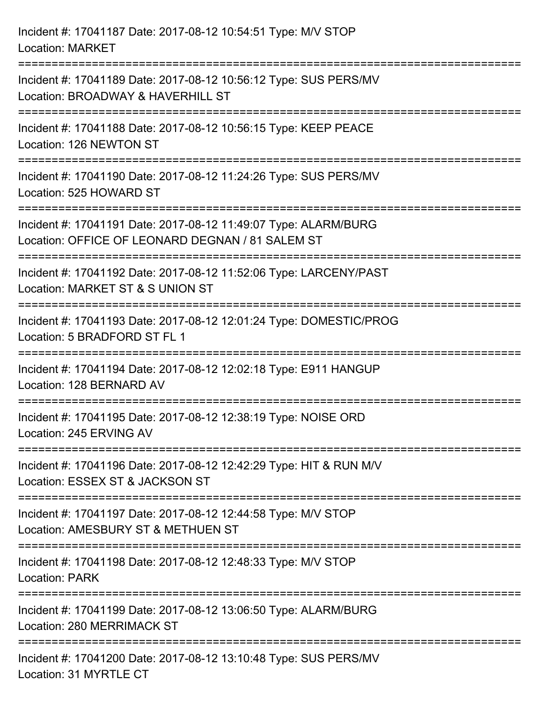| Incident #: 17041187 Date: 2017-08-12 10:54:51 Type: M/V STOP<br><b>Location: MARKET</b>                                                           |
|----------------------------------------------------------------------------------------------------------------------------------------------------|
| Incident #: 17041189 Date: 2017-08-12 10:56:12 Type: SUS PERS/MV<br>Location: BROADWAY & HAVERHILL ST                                              |
| Incident #: 17041188 Date: 2017-08-12 10:56:15 Type: KEEP PEACE<br>Location: 126 NEWTON ST<br>=================================                    |
| Incident #: 17041190 Date: 2017-08-12 11:24:26 Type: SUS PERS/MV<br>Location: 525 HOWARD ST                                                        |
| Incident #: 17041191 Date: 2017-08-12 11:49:07 Type: ALARM/BURG<br>Location: OFFICE OF LEONARD DEGNAN / 81 SALEM ST<br>=========================== |
| Incident #: 17041192 Date: 2017-08-12 11:52:06 Type: LARCENY/PAST<br>Location: MARKET ST & S UNION ST<br>=====================                     |
| Incident #: 17041193 Date: 2017-08-12 12:01:24 Type: DOMESTIC/PROG<br>Location: 5 BRADFORD ST FL 1<br>---------------------------------            |
| Incident #: 17041194 Date: 2017-08-12 12:02:18 Type: E911 HANGUP<br>Location: 128 BERNARD AV                                                       |
| Incident #: 17041195 Date: 2017-08-12 12:38:19 Type: NOISE ORD<br>Location: 245 ERVING AV                                                          |
| :===================================<br>Incident #: 17041196 Date: 2017-08-12 12:42:29 Type: HIT & RUN M/V<br>Location: ESSEX ST & JACKSON ST      |
| Incident #: 17041197 Date: 2017-08-12 12:44:58 Type: M/V STOP<br>Location: AMESBURY ST & METHUEN ST                                                |
| Incident #: 17041198 Date: 2017-08-12 12:48:33 Type: M/V STOP<br><b>Location: PARK</b>                                                             |
| Incident #: 17041199 Date: 2017-08-12 13:06:50 Type: ALARM/BURG<br>Location: 280 MERRIMACK ST                                                      |
| Incident #: 17041200 Date: 2017-08-12 13:10:48 Type: SUS PERS/MV<br>Location: 31 MYRTLE CT                                                         |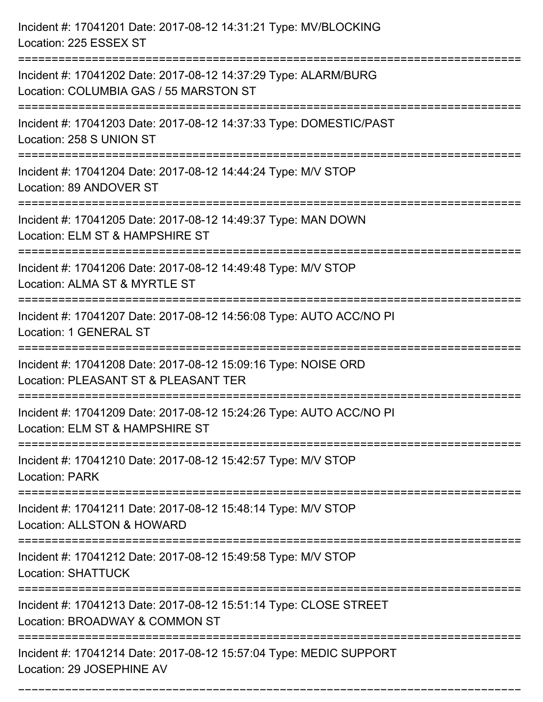| Incident #: 17041201 Date: 2017-08-12 14:31:21 Type: MV/BLOCKING<br>Location: 225 ESSEX ST                           |
|----------------------------------------------------------------------------------------------------------------------|
| Incident #: 17041202 Date: 2017-08-12 14:37:29 Type: ALARM/BURG<br>Location: COLUMBIA GAS / 55 MARSTON ST            |
| Incident #: 17041203 Date: 2017-08-12 14:37:33 Type: DOMESTIC/PAST<br>Location: 258 S UNION ST                       |
| Incident #: 17041204 Date: 2017-08-12 14:44:24 Type: M/V STOP<br>Location: 89 ANDOVER ST                             |
| Incident #: 17041205 Date: 2017-08-12 14:49:37 Type: MAN DOWN<br>Location: ELM ST & HAMPSHIRE ST<br>:=============== |
| Incident #: 17041206 Date: 2017-08-12 14:49:48 Type: M/V STOP<br>Location: ALMA ST & MYRTLE ST                       |
| Incident #: 17041207 Date: 2017-08-12 14:56:08 Type: AUTO ACC/NO PI<br>Location: 1 GENERAL ST                        |
| Incident #: 17041208 Date: 2017-08-12 15:09:16 Type: NOISE ORD<br>Location: PLEASANT ST & PLEASANT TER               |
| Incident #: 17041209 Date: 2017-08-12 15:24:26 Type: AUTO ACC/NO PI<br>Location: ELM ST & HAMPSHIRE ST               |
| Incident #: 17041210 Date: 2017-08-12 15:42:57 Type: M/V STOP<br><b>Location: PARK</b>                               |
| Incident #: 17041211 Date: 2017-08-12 15:48:14 Type: M/V STOP<br>Location: ALLSTON & HOWARD                          |
| Incident #: 17041212 Date: 2017-08-12 15:49:58 Type: M/V STOP<br><b>Location: SHATTUCK</b>                           |
| Incident #: 17041213 Date: 2017-08-12 15:51:14 Type: CLOSE STREET<br>Location: BROADWAY & COMMON ST                  |
| Incident #: 17041214 Date: 2017-08-12 15:57:04 Type: MEDIC SUPPORT<br>Location: 29 JOSEPHINE AV                      |

===========================================================================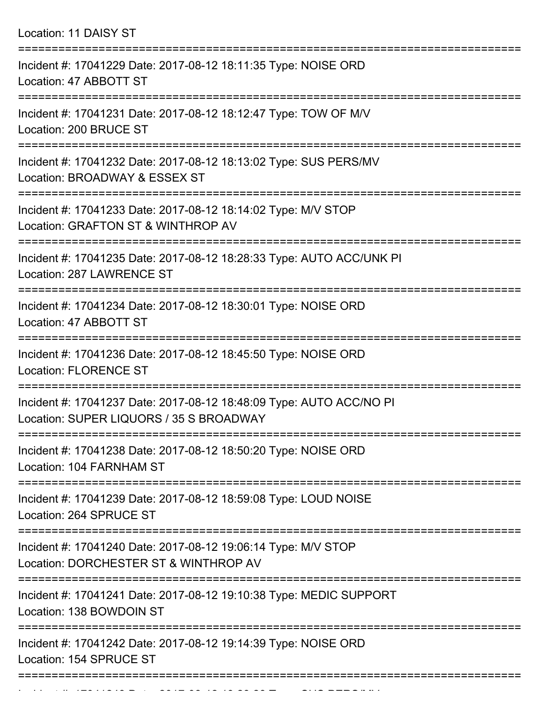| Location: 11 DAISY ST                                                                                                         |
|-------------------------------------------------------------------------------------------------------------------------------|
| Incident #: 17041229 Date: 2017-08-12 18:11:35 Type: NOISE ORD<br>Location: 47 ABBOTT ST                                      |
| Incident #: 17041231 Date: 2017-08-12 18:12:47 Type: TOW OF M/V<br>Location: 200 BRUCE ST                                     |
| Incident #: 17041232 Date: 2017-08-12 18:13:02 Type: SUS PERS/MV<br>Location: BROADWAY & ESSEX ST                             |
| Incident #: 17041233 Date: 2017-08-12 18:14:02 Type: M/V STOP<br>Location: GRAFTON ST & WINTHROP AV<br>:===================== |
| Incident #: 17041235 Date: 2017-08-12 18:28:33 Type: AUTO ACC/UNK PI<br>Location: 287 LAWRENCE ST                             |
| Incident #: 17041234 Date: 2017-08-12 18:30:01 Type: NOISE ORD<br>Location: 47 ABBOTT ST                                      |
| Incident #: 17041236 Date: 2017-08-12 18:45:50 Type: NOISE ORD<br><b>Location: FLORENCE ST</b>                                |
| Incident #: 17041237 Date: 2017-08-12 18:48:09 Type: AUTO ACC/NO PI<br>Location: SUPER LIQUORS / 35 S BROADWAY                |
| Incident #: 17041238 Date: 2017-08-12 18:50:20 Type: NOISE ORD<br>Location: 104 FARNHAM ST                                    |
| Incident #: 17041239 Date: 2017-08-12 18:59:08 Type: LOUD NOISE<br>Location: 264 SPRUCE ST                                    |
| Incident #: 17041240 Date: 2017-08-12 19:06:14 Type: M/V STOP<br>Location: DORCHESTER ST & WINTHROP AV                        |
| Incident #: 17041241 Date: 2017-08-12 19:10:38 Type: MEDIC SUPPORT<br>Location: 138 BOWDOIN ST                                |
| Incident #: 17041242 Date: 2017-08-12 19:14:39 Type: NOISE ORD<br>Location: 154 SPRUCE ST                                     |
| :=============                                                                                                                |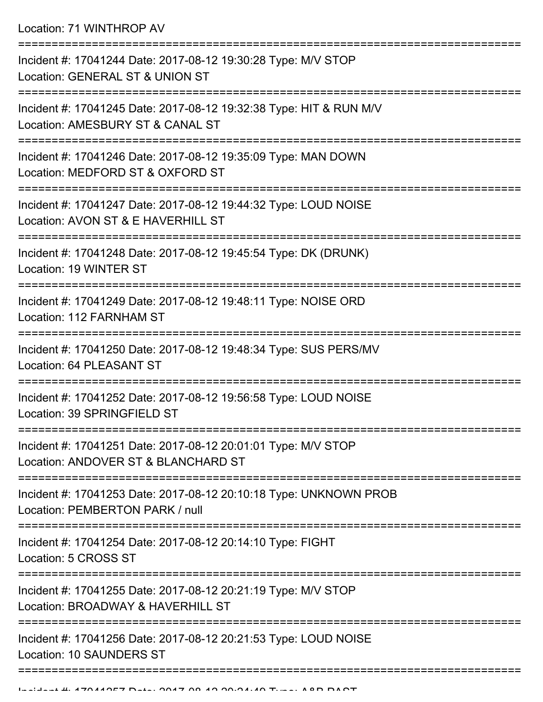Location: 71 WINTHROP AV

| Incident #: 17041244 Date: 2017-08-12 19:30:28 Type: M/V STOP<br>Location: GENERAL ST & UNION ST       |
|--------------------------------------------------------------------------------------------------------|
| Incident #: 17041245 Date: 2017-08-12 19:32:38 Type: HIT & RUN M/V<br>Location: AMESBURY ST & CANAL ST |
| Incident #: 17041246 Date: 2017-08-12 19:35:09 Type: MAN DOWN<br>Location: MEDFORD ST & OXFORD ST      |
| Incident #: 17041247 Date: 2017-08-12 19:44:32 Type: LOUD NOISE<br>Location: AVON ST & E HAVERHILL ST  |
| Incident #: 17041248 Date: 2017-08-12 19:45:54 Type: DK (DRUNK)<br>Location: 19 WINTER ST              |
| Incident #: 17041249 Date: 2017-08-12 19:48:11 Type: NOISE ORD<br>Location: 112 FARNHAM ST             |
| Incident #: 17041250 Date: 2017-08-12 19:48:34 Type: SUS PERS/MV<br>Location: 64 PLEASANT ST           |
| Incident #: 17041252 Date: 2017-08-12 19:56:58 Type: LOUD NOISE<br>Location: 39 SPRINGFIELD ST         |
| Incident #: 17041251 Date: 2017-08-12 20:01:01 Type: M/V STOP<br>Location: ANDOVER ST & BLANCHARD ST   |
| Incident #: 17041253 Date: 2017-08-12 20:10:18 Type: UNKNOWN PROB<br>Location: PEMBERTON PARK / null   |
| Incident #: 17041254 Date: 2017-08-12 20:14:10 Type: FIGHT<br>Location: 5 CROSS ST                     |
| Incident #: 17041255 Date: 2017-08-12 20:21:19 Type: M/V STOP<br>Location: BROADWAY & HAVERHILL ST     |
| Incident #: 17041256 Date: 2017-08-12 20:21:53 Type: LOUD NOISE<br><b>Location: 10 SAUNDERS ST</b>     |
|                                                                                                        |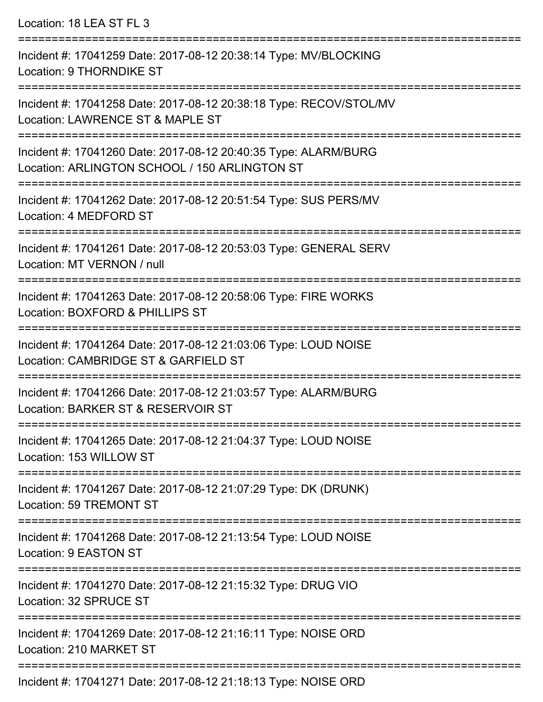Location: 18 LEA ST FL 3

=========================================================================== Incident #: 17041259 Date: 2017-08-12 20:38:14 Type: MV/BLOCKING Location: 9 THORNDIKE ST =========================================================================== Incident #: 17041258 Date: 2017-08-12 20:38:18 Type: RECOV/STOL/MV Location: LAWRENCE ST & MAPLE ST =========================================================================== Incident #: 17041260 Date: 2017-08-12 20:40:35 Type: ALARM/BURG Location: ARLINGTON SCHOOL / 150 ARLINGTON ST =========================================================================== Incident #: 17041262 Date: 2017-08-12 20:51:54 Type: SUS PERS/MV Location: 4 MEDFORD ST =========================================================================== Incident #: 17041261 Date: 2017-08-12 20:53:03 Type: GENERAL SERV Location: MT VERNON / null =========================================================================== Incident #: 17041263 Date: 2017-08-12 20:58:06 Type: FIRE WORKS Location: BOXFORD & PHILLIPS ST =========================================================================== Incident #: 17041264 Date: 2017-08-12 21:03:06 Type: LOUD NOISE Location: CAMBRIDGE ST & GARFIELD ST =========================================================================== Incident #: 17041266 Date: 2017-08-12 21:03:57 Type: ALARM/BURG Location: BARKER ST & RESERVOIR ST =========================================================================== Incident #: 17041265 Date: 2017-08-12 21:04:37 Type: LOUD NOISE Location: 153 WILLOW ST =========================================================================== Incident #: 17041267 Date: 2017-08-12 21:07:29 Type: DK (DRUNK) Location: 59 TREMONT ST =========================================================================== Incident #: 17041268 Date: 2017-08-12 21:13:54 Type: LOUD NOISE Location: 9 EASTON ST =========================================================================== Incident #: 17041270 Date: 2017-08-12 21:15:32 Type: DRUG VIO Location: 32 SPRUCE ST =========================================================================== Incident #: 17041269 Date: 2017-08-12 21:16:11 Type: NOISE ORD Location: 210 MARKET ST ===========================================================================

Incident #: 17041271 Date: 2017-08-12 21:18:13 Type: NOISE ORD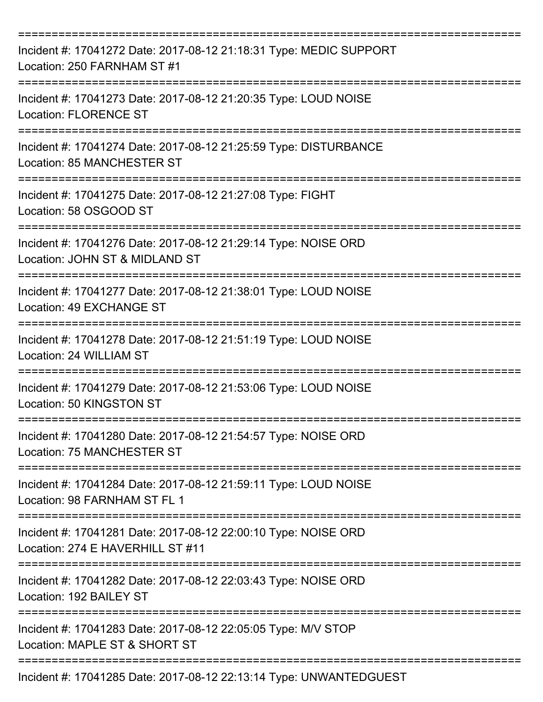| Incident #: 17041272 Date: 2017-08-12 21:18:31 Type: MEDIC SUPPORT<br>Location: 250 FARNHAM ST #1     |
|-------------------------------------------------------------------------------------------------------|
| Incident #: 17041273 Date: 2017-08-12 21:20:35 Type: LOUD NOISE<br><b>Location: FLORENCE ST</b>       |
| Incident #: 17041274 Date: 2017-08-12 21:25:59 Type: DISTURBANCE<br><b>Location: 85 MANCHESTER ST</b> |
| Incident #: 17041275 Date: 2017-08-12 21:27:08 Type: FIGHT<br>Location: 58 OSGOOD ST                  |
| Incident #: 17041276 Date: 2017-08-12 21:29:14 Type: NOISE ORD<br>Location: JOHN ST & MIDLAND ST      |
| Incident #: 17041277 Date: 2017-08-12 21:38:01 Type: LOUD NOISE<br>Location: 49 EXCHANGE ST           |
| Incident #: 17041278 Date: 2017-08-12 21:51:19 Type: LOUD NOISE<br>Location: 24 WILLIAM ST            |
| Incident #: 17041279 Date: 2017-08-12 21:53:06 Type: LOUD NOISE<br>Location: 50 KINGSTON ST           |
| Incident #: 17041280 Date: 2017-08-12 21:54:57 Type: NOISE ORD<br>Location: 75 MANCHESTER ST          |
| Incident #: 17041284 Date: 2017-08-12 21:59:11 Type: LOUD NOISE<br>Location: 98 FARNHAM ST FL 1       |
| Incident #: 17041281 Date: 2017-08-12 22:00:10 Type: NOISE ORD<br>Location: 274 E HAVERHILL ST #11    |
| Incident #: 17041282 Date: 2017-08-12 22:03:43 Type: NOISE ORD<br>Location: 192 BAILEY ST             |
| Incident #: 17041283 Date: 2017-08-12 22:05:05 Type: M/V STOP<br>Location: MAPLE ST & SHORT ST        |
| Incident #: 17041285 Date: 2017-08-12 22:13:14 Type: UNWANTEDGUEST                                    |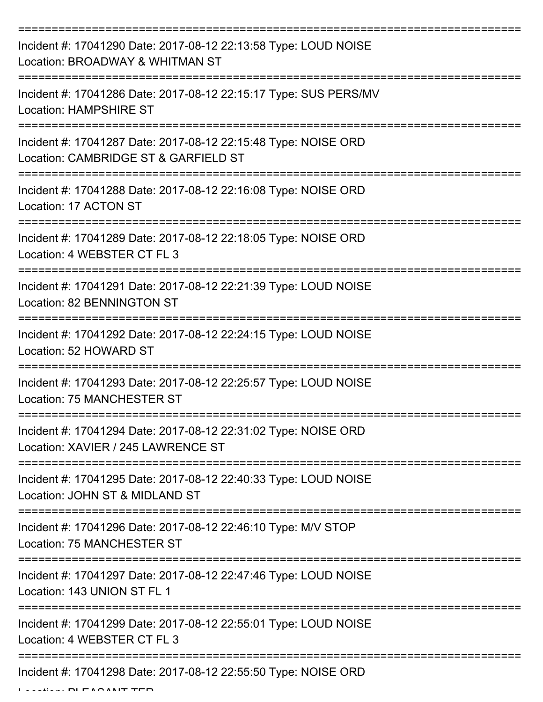| Incident #: 17041290 Date: 2017-08-12 22:13:58 Type: LOUD NOISE<br>Location: BROADWAY & WHITMAN ST       |
|----------------------------------------------------------------------------------------------------------|
| Incident #: 17041286 Date: 2017-08-12 22:15:17 Type: SUS PERS/MV<br><b>Location: HAMPSHIRE ST</b>        |
| Incident #: 17041287 Date: 2017-08-12 22:15:48 Type: NOISE ORD<br>Location: CAMBRIDGE ST & GARFIELD ST   |
| Incident #: 17041288 Date: 2017-08-12 22:16:08 Type: NOISE ORD<br>Location: 17 ACTON ST                  |
| Incident #: 17041289 Date: 2017-08-12 22:18:05 Type: NOISE ORD<br>Location: 4 WEBSTER CT FL 3            |
| Incident #: 17041291 Date: 2017-08-12 22:21:39 Type: LOUD NOISE<br>Location: 82 BENNINGTON ST            |
| Incident #: 17041292 Date: 2017-08-12 22:24:15 Type: LOUD NOISE<br>Location: 52 HOWARD ST<br>=========== |
| Incident #: 17041293 Date: 2017-08-12 22:25:57 Type: LOUD NOISE<br><b>Location: 75 MANCHESTER ST</b>     |
| Incident #: 17041294 Date: 2017-08-12 22:31:02 Type: NOISE ORD<br>Location: XAVIER / 245 LAWRENCE ST     |
| Incident #: 17041295 Date: 2017-08-12 22:40:33 Type: LOUD NOISE<br>Location: JOHN ST & MIDLAND ST        |
| Incident #: 17041296 Date: 2017-08-12 22:46:10 Type: M/V STOP<br>Location: 75 MANCHESTER ST              |
| Incident #: 17041297 Date: 2017-08-12 22:47:46 Type: LOUD NOISE<br>Location: 143 UNION ST FL 1           |
| Incident #: 17041299 Date: 2017-08-12 22:55:01 Type: LOUD NOISE<br>Location: 4 WEBSTER CT FL 3           |
| Incident #: 17041298 Date: 2017-08-12 22:55:50 Type: NOISE ORD                                           |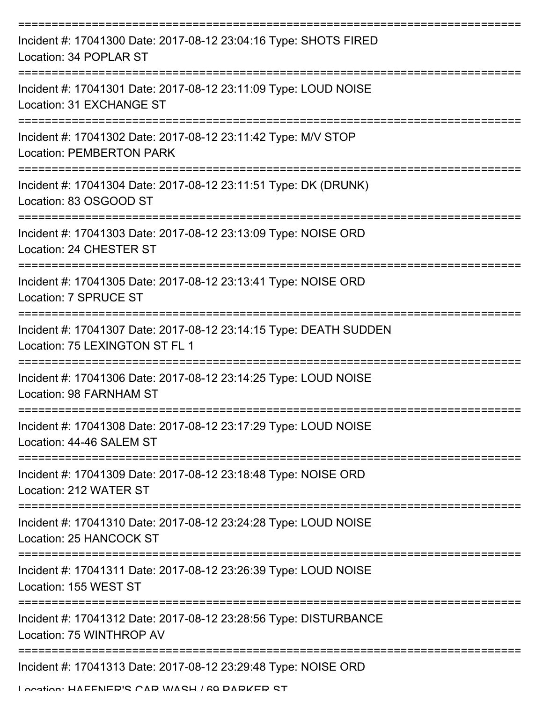| Incident #: 17041300 Date: 2017-08-12 23:04:16 Type: SHOTS FIRED<br>Location: 34 POPLAR ST          |
|-----------------------------------------------------------------------------------------------------|
| Incident #: 17041301 Date: 2017-08-12 23:11:09 Type: LOUD NOISE<br>Location: 31 EXCHANGE ST         |
| Incident #: 17041302 Date: 2017-08-12 23:11:42 Type: M/V STOP<br><b>Location: PEMBERTON PARK</b>    |
| Incident #: 17041304 Date: 2017-08-12 23:11:51 Type: DK (DRUNK)<br>Location: 83 OSGOOD ST           |
| Incident #: 17041303 Date: 2017-08-12 23:13:09 Type: NOISE ORD<br>Location: 24 CHESTER ST           |
| Incident #: 17041305 Date: 2017-08-12 23:13:41 Type: NOISE ORD<br>Location: 7 SPRUCE ST             |
| Incident #: 17041307 Date: 2017-08-12 23:14:15 Type: DEATH SUDDEN<br>Location: 75 LEXINGTON ST FL 1 |
| Incident #: 17041306 Date: 2017-08-12 23:14:25 Type: LOUD NOISE<br>Location: 98 FARNHAM ST          |
| Incident #: 17041308 Date: 2017-08-12 23:17:29 Type: LOUD NOISE<br>Location: 44-46 SALEM ST         |
| Incident #: 17041309 Date: 2017-08-12 23:18:48 Type: NOISE ORD<br>Location: 212 WATER ST            |
| Incident #: 17041310 Date: 2017-08-12 23:24:28 Type: LOUD NOISE<br>Location: 25 HANCOCK ST          |
| Incident #: 17041311 Date: 2017-08-12 23:26:39 Type: LOUD NOISE<br>Location: 155 WEST ST            |
| Incident #: 17041312 Date: 2017-08-12 23:28:56 Type: DISTURBANCE<br>Location: 75 WINTHROP AV        |
| Incident #: 17041313 Date: 2017-08-12 23:29:48 Type: NOISE ORD                                      |

Location: HAFFNER'S CAR WASH / 69 PARKER ST